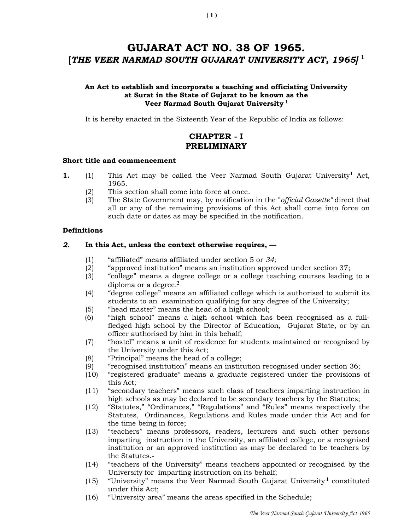# GUJARAT ACT NO. 38 OF 1965. [THE VEER NARMAD SOUTH GUJARAT UNIVERSITY ACT, 1965]<sup>1</sup>

## An Act to establish and incorporate a teaching and officiating University at Surat in the State of Gujarat to be known as the Veer Narmad South Gujarat University<sup>1</sup>

It is hereby enacted in the Sixteenth Year of the Republic of India as follows:

# CHAPTER - I PRELIMINARY

## Short title and commencement

- 1. (1) This Act may be called the Veer Narmad South Gujarat University<sup>1</sup> Act, 1965.
	- (2) This section shall come into force at once.
	- (3) The State Government may, by notification in the "official Gazette" direct that all or any of the remaining provisions of this Act shall come into force on such date or dates as may be specified in the notification.

## **Definitions**

## 2. In this Act, unless the context otherwise requires, —

- (1) "affiliated" means affiliated under section 5 or 34;
- (2) "approved institution" means an institution approved under section 37;
- (3) "college" means a degree college or a college teaching courses leading to a diploma or a degree.<sup>2</sup>
- (4) "degree college" means an affiliated college which is authorised to submit its students to an examination qualifying for any degree of the University;
- (5) "head master" means the head of a high school;
- (6) "high school" means a high school which has been recognised as a fullfledged high school by the Director of Education, Gujarat State, or by an officer authorised by him in this behalf;
- (7) "hostel" means a unit of residence for students maintained or recognised by the University under this Act;
- (8) "Principal" means the head of a college;
- (9) "recognised institution" means an institution recognised under section 36;
- (10) "registered graduate" means a graduate registered under the provisions of this Act;
- (11) "secondary teachers" means such class of teachers imparting instruction in high schools as may be declared to be secondary teachers by the Statutes;
- (12) "Statutes," "Ordinances," "Regulations" and "Rules" means respectively the Statutes, Ordinances, Regulations and Rules made under this Act and for the time being in force;
- (13) "teachers" means professors, readers, lecturers and such other persons imparting instruction in the University, an affiliated college, or a recognised institution or an approved institution as may be declared to be teachers by the Statutes.-
- (14) "teachers of the University" means teachers appointed or recognised by the University for imparting instruction on its behalf;
- $(15)$  "University" means the Veer Narmad South Gujarat University<sup>1</sup> constituted under this Act;
- (16) "University area" means the areas specified in the Schedule;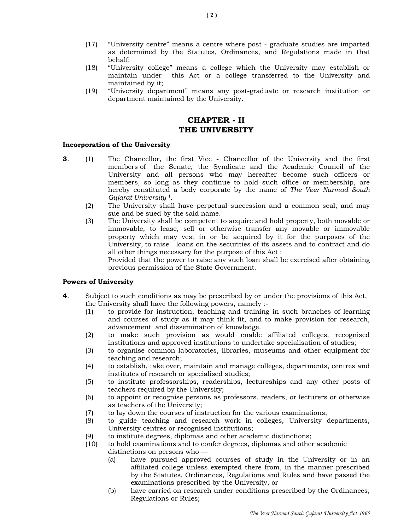- (17) "University centre" means a centre where post graduate studies are imparted as determined by the Statutes, Ordinances, and Regulations made in that behalf;
- (18) "University college" means a college which the University may establish or maintain under this Act or a college transferred to the University and maintained by it;
- (19) "University department" means any post-graduate or research institution or department maintained by the University.

# CHAPTER - II THE UNIVERSITY

#### Incorporation of the University

- 3. (1) The Chancellor, the first Vice Chancellor of the University and the first members of the Senate, the Syndicate and the Academic Council of the University and all persons who may hereafter become such officers or members, so long as they continue to hold such office or membership, are hereby constituted a body corporate by the name of The Veer Narmad South Gujarat University <sup>1</sup> .
	- (2) The University shall have perpetual succession and a common seal, and may sue and be sued by the said name.
	- (3) The University shall be competent to acquire and hold property, both movable or immovable, to lease, sell or otherwise transfer any movable or immovable property which may vest in or be acquired by it for the purposes of the University, to raise loans on the securities of its assets and to contract and do all other things necessary for the purpose of this Act :

 Provided that the power to raise any such loan shall be exercised after obtaining previous permission of the State Government.

#### Powers of University

- 4. Subject to such conditions as may be prescribed by or under the provisions of this Act, the University shall have the following powers, namely :-
	- (1) to provide for instruction, teaching and training in such branches of learning and courses of study as it may think fit, and to make provision for research, advancement and dissemination of knowledge.
	- (2) to make such provision as would enable affiliated colleges, recognised institutions and approved institutions to undertake specialisation of studies;
	- (3) to organise common laboratories, libraries, museums and other equipment for teaching and research;
	- (4) to establish, take over, maintain and manage colleges, departments, centres and institutes of research or specialised studies;
	- (5) to institute professorships, readerships, lectureships and any other posts of teachers required by the University;
	- (6) to appoint or recognise persons as professors, readers, or lecturers or otherwise as teachers of the University;
	- (7) to lay down the courses of instruction for the various examinations;
	- (8) to guide teaching and research work in colleges, University departments, University centres or recognised institutions;
	- (9) to institute degrees, diplomas and other academic distinctions;
	- (10) to hold examinations and to confer degrees, diplomas and other academic distinctions on persons who —
		- - (a) have pursued approved courses of study in the University or in an affiliated college unless exempted there from, in the manner prescribed by the Statutes, Ordinances, Regulations and Rules and have passed the examinations prescribed by the University, or
			- (b) have carried on research under conditions prescribed by the Ordinances, Regulations or Rules;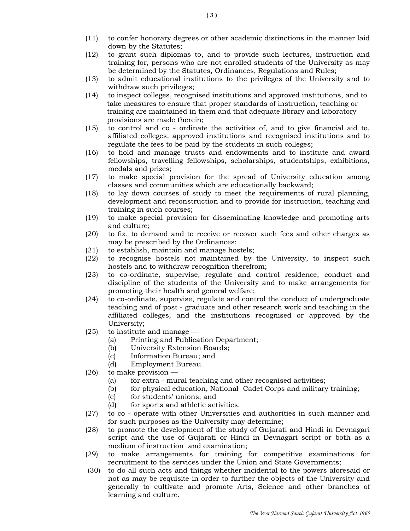- (11) to confer honorary degrees or other academic distinctions in the manner laid down by the Statutes;
- (12) to grant such diplomas to, and to provide such lectures, instruction and training for, persons who are not enrolled students of the University as may be determined by the Statutes, Ordinances, Regulations and Rules;
- (13) to admit educational institutions to the privileges of the University and to withdraw such privileges;
- (14) to inspect colleges, recognised institutions and approved institutions, and to take measures to ensure that proper standards of instruction, teaching or training are maintained in them and that adequate library and laboratory provisions are made therein;
- (15) to control and co ordinate the activities of, and to give financial aid to, affiliated colleges, approved institutions and recognised institutions and to regulate the fees to be paid by the students in such colleges;
- (16) to hold and manage trusts and endowments and to institute and award fellowships, travelling fellowships, scholarships, studentships, exhibitions, medals and prizes;
- (17) to make special provision for the spread of University education among classes and communities which are educationally backward;
- (18) to lay down courses of study to meet the requirements of rural planning, development and reconstruction and to provide for instruction, teaching and training in such courses;
- (19) to make special provision for disseminating knowledge and promoting arts and culture;
- (20) to fix, to demand and to receive or recover such fees and other charges as may be prescribed by the Ordinances;
- (21) to establish, maintain and manage hostels;
- (22) to recognise hostels not maintained by the University, to inspect such hostels and to withdraw recognition therefrom;
- (23) to co-ordinate, supervise, regulate and control residence, conduct and discipline of the students of the University and to make arrangements for promoting their health and general welfare;
- (24) to co-ordinate, supervise, regulate and control the conduct of undergraduate teaching and of post - graduate and other research work and teaching in the affiliated colleges, and the institutions recognised or approved by the University;
- (25) to institute and manage
	- (a) Printing and Publication Department;
	- (b) University Extension Boards;
	- (c) Information Bureau; and
	- (d) Employment Bureau.
- $(26)$  to make provision
	- (a) for extra mural teaching and other recognised activities;
	- (b) for physical education, National Cadet Corps and military training;
	- (c) for students' unions; and
	- (d) for sports and athletic activities.
- (27) to co operate with other Universities and authorities in such manner and for such purposes as the University may determine;
- (28) to promote the development of the study of Gujarati and Hindi in Devnagari script and the use of Gujarati or Hindi in Devnagari script or both as a medium of instruction and examination;
- (29) to make arrangements for training for competitive examinations for recruitment to the services under the Union and State Governments;
- (30) to do all such acts and things whether incidental to the powers aforesaid or not as may be requisite in order to further the objects of the University and generally to cultivate and promote Arts, Science and other branches of learning and culture.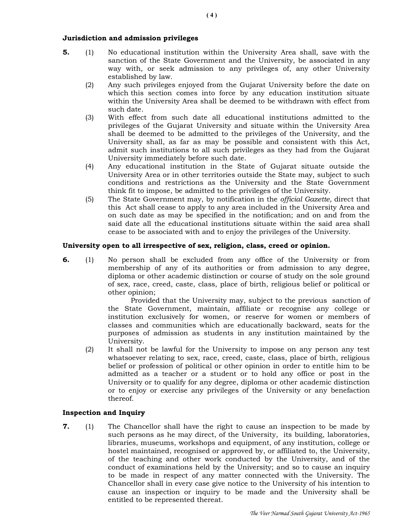## Jurisdiction and admission privileges

- 5. (1) No educational institution within the University Area shall, save with the sanction of the State Government and the University, be associated in any way with, or seek admission to any privileges of, any other University established by law.
	- (2) Any such privileges enjoyed from the Gujarat University before the date on which this section comes into force by any education institution situate within the University Area shall be deemed to be withdrawn with effect from such date.
	- (3) With effect from such date all educational institutions admitted to the privileges of the Gujarat University and situate within the University Area shall be deemed to be admitted to the privileges of the University, and the University shall, as far as may be possible and consistent with this Act, admit such institutions to all such privileges as they had from the Gujarat University immediately before such date.
	- (4) Any educational institution in the State of Gujarat situate outside the University Area or in other territories outside the State may, subject to such conditions and restrictions as the University and the State Government think fit to impose, be admitted to the privileges of the University.
	- (5) The State Government may, by notification in the official Gazette, direct that this Act shall cease to apply to any area included in the University Area and on such date as may be specified in the notification; and on and from the said date all the educational institutions situate within the said area shall cease to be associated with and to enjoy the privileges of the University.

## University open to all irrespective of sex, religion, class, creed or opinion.

6. (1) No person shall be excluded from any office of the University or from membership of any of its authorities or from admission to any degree, diploma or other academic distinction or course of study on the sole ground of sex, race, creed, caste, class, place of birth, religious belief or political or other opinion;

 Provided that the University may, subject to the previous sanction of the State Government, maintain, affiliate or recognise any college or institution exclusively for women, or reserve for women or members of classes and communities which are educationally backward, seats for the purposes of admission as students in any institution maintained by the University.

(2) It shall not be lawful for the University to impose on any person any test whatsoever relating to sex, race, creed, caste, class, place of birth, religious belief or profession of political or other opinion in order to entitle him to be admitted as a teacher or a student or to hold any office or post in the University or to qualify for any degree, diploma or other academic distinction or to enjoy or exercise any privileges of the University or any benefaction thereof.

## Inspection and Inquiry

7. (1) The Chancellor shall have the right to cause an inspection to be made by such persons as he may direct, of the University, its building, laboratories, libraries, museums, workshops and equipment, of any institution, college or hostel maintained, recognised or approved by, or affiliated to, the University, of the teaching and other work conducted by the University, and of the conduct of examinations held by the University; and so to cause an inquiry to be made in respect of any matter connected with the University. The Chancellor shall in every case give notice to the University of his intention to cause an inspection or inquiry to be made and the University shall be entitled to be represented thereat.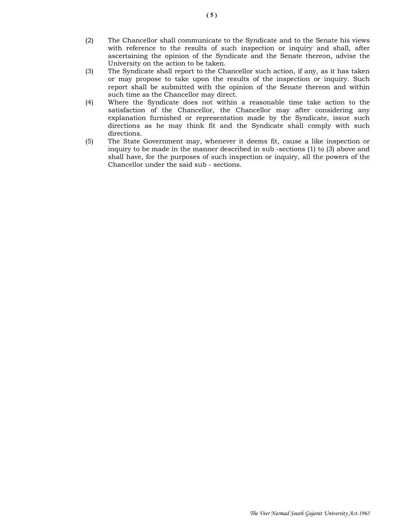- (2) The Chancellor shall communicate to the Syndicate and to the Senate his views with reference to the results of such inspection or inquiry and shall, after ascertaining the opinion of the Syndicate and the Senate thereon, advise the University on the action to be taken.
- (3) The Syndicate shall report to the Chancellor such action, if any, as it has taken or may propose to take upon the results of the inspection or inquiry. Such report shall be submitted with the opinion of the Senate thereon and within such time as the Chancellor may direct.
- (4) Where the Syndicate does not within a reasonable time take action to the satisfaction of the Chancellor, the Chancellor may after considering any explanation furnished or representation made by the Syndicate, issue such directions as he may think fit and the Syndicate shall comply with such directions.
- (5) The State Government may, whenever it deems fit, cause a like inspection or inquiry to be made in the manner described in sub -sections (1) to (3) above and shall have, for the purposes of such inspection or inquiry, all the powers of the Chancellor under the said sub - sections.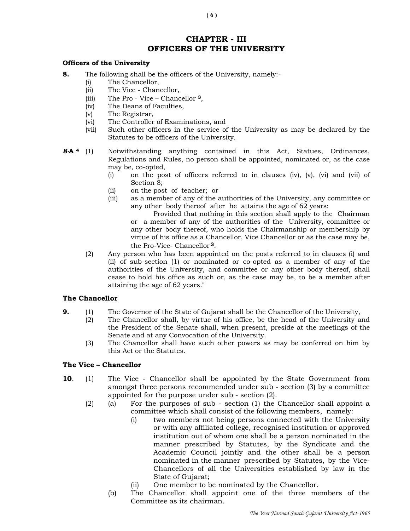# CHAPTER - III OFFICERS OF THE UNIVERSITY

#### Officers of the University

- 8. The following shall be the officers of the University, namely:-
	- (i) The Chancellor,
	- (ii) The Vice Chancellor,
	- (iii) The Pro Vice Chancellor 3,
	- (iv) The Deans of Faculties,
	- (v) The Registrar,
	- (vi) The Controller of Examinations, and
	- (vii) Such other officers in the service of the University as may be declared by the Statutes to be officers of the University.
- 8-A 4 (1) Notwithstanding anything contained in this Act, Statues, Ordinances, Regulations and Rules, no person shall be appointed, nominated or, as the case may be, co-opted,
	- (i) on the post of officers referred to in clauses (iv), (v), (vi) and (vii) of Section 8;
	- (ii) on the post of teacher; or
	- (iii) as a member of any of the authorities of the University, any committee or any other body thereof after he attains the age of 62 years:
		- Provided that nothing in this section shall apply to the Chairman or a member of any of the authorities of the University, committee or any other body thereof, who holds the Chairmanship or membership by virtue of his office as a Chancellor, Vice Chancellor or as the case may be, the Pro-Vice- Chancellor <sup>3</sup>.
	- (2) Any person who has been appointed on the posts referred to in clauses (i) and (ii) of sub-section (1) or nominated or co-opted as a member of any of the authorities of the University, and committee or any other body thereof, shall cease to hold his office as such or, as the case may be, to be a member after attaining the age of 62 years."

## The Chancellor

- 9. (1) The Governor of the State of Gujarat shall be the Chancellor of the University,
	- (2) The Chancellor shall, by virtue of his office, be the head of the University and the President of the Senate shall, when present, preside at the meetings of the Senate and at any Convocation of the University.
		- (3) The Chancellor shall have such other powers as may be conferred on him by this Act or the Statutes.

## The Vice – Chancellor

- **10.** (1) The Vice Chancellor shall be appointed by the State Government from amongst three persons recommended under sub - section (3) by a committee appointed for the purpose under sub - section (2).
	- (2) (a) For the purposes of sub section (1) the Chancellor shall appoint a committee which shall consist of the following members, namely:
		- (i) two members not being persons connected with the University or with any affiliated college, recognised institution or approved institution out of whom one shall be a person nominated in the manner prescribed by Statutes, by the Syndicate and the Academic Council jointly and the other shall be a person nominated in the manner prescribed by Statutes, by the Vice-Chancellors of all the Universities established by law in the State of Gujarat;
		- (ii) One member to be nominated by the Chancellor.
		- (b) The Chancellor shall appoint one of the three members of the Committee as its chairman.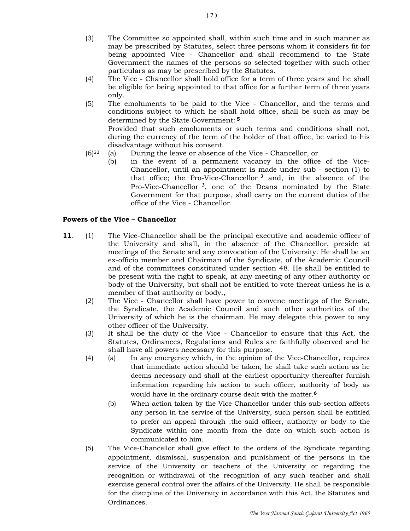- (3) The Committee so appointed shall, within such time and in such manner as may be prescribed by Statutes, select three persons whom it considers fit for being appointed Vice - Chancellor and shall recommend to the State Government the names of the persons so selected together with such other particulars as may be prescribed by the Statutes.
- (4) The Vice Chancellor shall hold office for a term of three years and he shall be eligible for being appointed to that office for a further term of three years only.
- (5) The emoluments to be paid to the Vice Chancellor, and the terms and conditions subject to which he shall hold office, shall be such as may be determined by the State Government: <sup>5</sup> Provided that such emoluments or such terms and conditions shall not, during the currency of the term of the holder of that office, be varied to his disadvantage without his consent.
- (6)22 (a) During the leave or absence of the Vice Chancellor, or
	- (b) in the event of a permanent vacancy in the office of the Vice-Chancellor, until an appointment is made under sub - section (1) to that office; the Pro-Vice-Chancellor  $3$  and, in the absence of the Pro-Vice-Chancellor<sup>3</sup>, one of the Deans nominated by the State Government for that purpose, shall carry on the current duties of the office of the Vice - Chancellor.

## Powers of the Vice – Chancellor

- 11. (1) The Vice-Chancellor shall be the principal executive and academic officer of the University and shall, in the absence of the Chancellor, preside at meetings of the Senate and any convocation of the University. He shall be an ex-officio member and Chairman of the Syndicate, of the Academic Council and of the committees constituted under section 48. He shall be entitled to be present with the right to speak, at any meeting of any other authority or body of the University, but shall not be entitled to vote thereat unless he is a member of that authority or body.,
	- (2) The Vice Chancellor shall have power to convene meetings of the Senate, the Syndicate, the Academic Council and such other authorities of the University of which he is the chairman. He may delegate this power to any other officer of the University.
	- (3) It shall be the duty of the Vice Chancellor to ensure that this Act, the Statutes, Ordinances, Regulations and Rules are faithfully observed and he shall have all powers necessary for this purpose.
	- (4) (a) In any emergency which, in the opinion of the Vice-Chancellor, requires that immediate action should be taken, he shall take such action as he deems necessary and shall at the earliest opportunity thereafter furnish information regarding his action to such officer, authority of body as would have in the ordinary course dealt with the matter.6
		- (b) When action taken by the Vice-Chancellor under this sub-section affects any person in the service of the University, such person shall be entitled to prefer an appeal through .the said officer, authority or body to the Syndicate within one month from the date on which such action is communicated to him.
	- (5) The Vice-Chancellor shall give effect to the orders of the Syndicate regarding appointment, dismissal, suspension and punishment of the persons in the service of the University or teachers of the University or regarding the recognition or withdrawal of the recognition of any such teacher and shall exercise general control over the affairs of the University. He shall be responsible for the discipline of the University in accordance with this Act, the Statutes and Ordinances.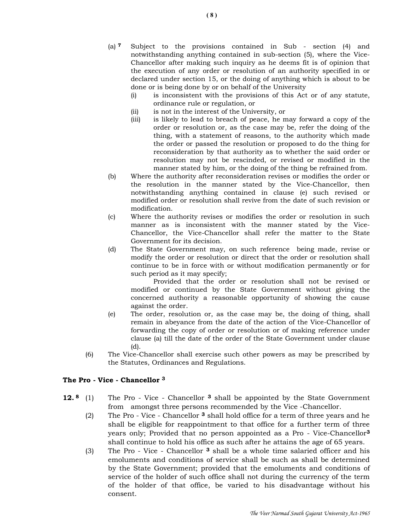- (a) 7 Subject to the provisions contained in Sub section (4) and notwithstanding anything contained in sub-section (5), where the Vice-Chancellor after making such inquiry as he deems fit is of opinion that the execution of any order or resolution of an authority specified in or declared under section 15, or the doing of anything which is about to be done or is being done by or on behalf of the University
	- (i) is inconsistent with the provisions of this Act or of any statute, ordinance rule or regulation, or
	- (ii) is not in the interest of the University, or
	- (iii) is likely to lead to breach of peace, he may forward a copy of the order or resolution or, as the case may be, refer the doing of the thing, with a statement of reasons, to the authority which made the order or passed the resolution or proposed to do the thing for reconsideration by that authority as to whether the said order or resolution may not be rescinded, or revised or modified in the manner stated by him, or the doing of the thing be refrained from.
- (b) Where the authority after reconsideration revises or modifies the order or the resolution in the manner stated by the Vice-Chancellor, then notwithstanding anything contained in clause (e) such revised or modified order or resolution shall revive from the date of such revision or modification.
- (c) Where the authority revises or modifies the order or resolution in such manner as is inconsistent with the manner stated by the Vice-Chancellor, the Vice-Chancellor shall refer the matter to the State Government for its decision.
- (d) The State Government may, on such reference being made, revise or modify the order or resolution or direct that the order or resolution shall continue to be in force with or without modification permanently or for such period as it may specify;

 Provided that the order or resolution shall not be revised or modified or continued by the State Government without giving the concerned authority a reasonable opportunity of showing the cause against the order.

- (e) The order, resolution or, as the case may be, the doing of thing, shall remain in abeyance from the date of the action of the Vice-Chancellor of forwarding the copy of order or resolution or of making reference under clause (a) till the date of the order of the State Government under clause (d).
- (6) The Vice-Chancellor shall exercise such other powers as may be prescribed by the Statutes, Ordinances and Regulations.

## The Pro - Vice - Chancellor <sup>3</sup>

- 12.<sup>8</sup> (1) The Pro Vice Chancellor <sup>3</sup> shall be appointed by the State Government from amongst three persons recommended by the Vice -Chancellor.
	- (2) The Pro Vice Chancellor  $3$  shall hold office for a term of three years and he shall be eligible for reappointment to that office for a further term of three years only; Provided that no person appointed as a Pro - Vice-Chancellor<sup>3</sup> shall continue to hold his office as such after he attains the age of 65 years.
	- (3) The Pro Vice Chancellor  $3$  shall be a whole time salaried officer and his emoluments and conditions of service shall be such as shall be determined by the State Government; provided that the emoluments and conditions of service of the holder of such office shall not during the currency of the term of the holder of that office, be varied to his disadvantage without his consent.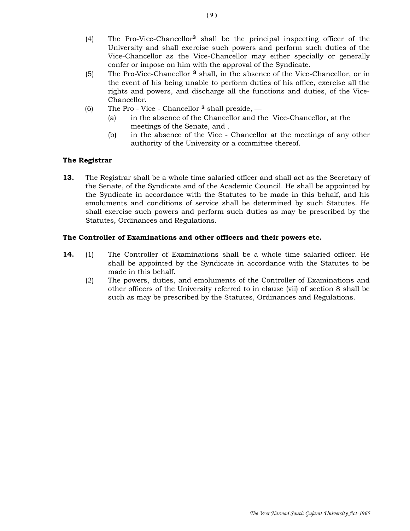- (4) The Pro-Vice-Chancellor3 shall be the principal inspecting officer of the University and shall exercise such powers and perform such duties of the Vice-Chancellor as the Vice-Chancellor may either specially or generally confer or impose on him with the approval of the Syndicate.
- (5) The Pro-Vice-Chancellor <sup>3</sup> shall, in the absence of the Vice-Chancellor, or in the event of his being unable to perform duties of his office, exercise all the rights and powers, and discharge all the functions and duties, of the Vice- Chancellor.
- (6) The Pro Vice Chancellor  $\alpha$  shall preside,  $\alpha$ 
	- (a) in the absence of the Chancellor and the Vice-Chancellor, at the meetings of the Senate, and .
	- (b) in the absence of the Vice Chancellor at the meetings of any other authority of the University or a committee thereof.

## The Registrar

13. The Registrar shall be a whole time salaried officer and shall act as the Secretary of the Senate, of the Syndicate and of the Academic Council. He shall be appointed by the Syndicate in accordance with the Statutes to be made in this behalf, and his emoluments and conditions of service shall be determined by such Statutes. He shall exercise such powers and perform such duties as may be prescribed by the Statutes, Ordinances and Regulations.

## The Controller of Examinations and other officers and their powers etc.

- 14. (1) The Controller of Examinations shall be a whole time salaried officer. He shall be appointed by the Syndicate in accordance with the Statutes to be made in this behalf.
	- (2) The powers, duties, and emoluments of the Controller of Examinations and other officers of the University referred to in clause (vii) of section 8 shall be such as may be prescribed by the Statutes, Ordinances and Regulations.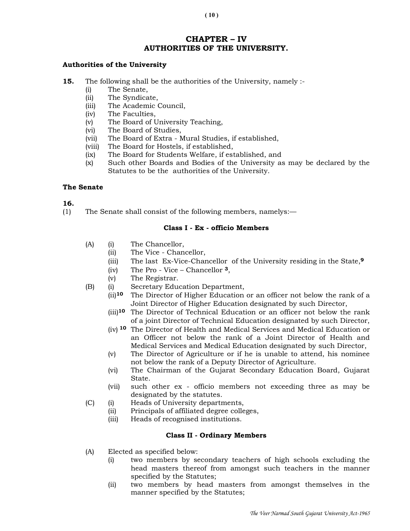# CHAPTER – IV AUTHORITIES OF THE UNIVERSITY.

## Authorities of the University

- 15. The following shall be the authorities of the University, namely :-
	- (i) The Senate,
	- (ii) The Syndicate,
	- (iii) The Academic Council,
	- (iv) The Faculties,
	- (v) The Board of University Teaching,
	- (vi) The Board of Studies,
	- (vii) The Board of Extra Mural Studies, if established,
	- (viii) The Board for Hostels, if established,
	- (ix) The Board for Students Welfare, if established, and
	- (x) Such other Boards and Bodies of the University as may be declared by the Statutes to be the authorities of the University.

### The Senate

## 16.

(1) The Senate shall consist of the following members, namelys:—

### Class I - Ex - officio Members

- (A) (i) The Chancellor,
	- (ii) The Vice Chancellor,
	- (iii) The last Ex-Vice-Chancellor of the University residing in the State,<sup>9</sup>
	- (iv) The Pro Vice Chancellor 3,
	- (v) The Registrar.
- (B) (i) Secretary Education Department,
	- (ii)10 The Director of Higher Education or an officer not below the rank of a Joint Director of Higher Education designated by such Director,
	- (iii)10 The Director of Technical Education or an officer not below the rank of a joint Director of Technical Education designated by such Director,
	- (iv) 10 The Director of Health and Medical Services and Medical Education or an Officer not below the rank of a Joint Director of Health and Medical Services and Medical Education designated by such Director,
	- (v) The Director of Agriculture or if he is unable to attend, his nominee not below the rank of a Deputy Director of Agriculture.
	- (vi) The Chairman of the Gujarat Secondary Education Board, Gujarat State.
	- (vii) such other ex officio members not exceeding three as may be designated by the statutes.
- (C) (i) Heads of University departments,
	- (ii) Principals of affiliated degree colleges,
	- (iii) Heads of recognised institutions.

### Class II - Ordinary Members

- (A) Elected as specified below:
	- (i) two members by secondary teachers of high schools excluding the head masters thereof from amongst such teachers in the manner specified by the Statutes;
	- (ii) two members by head masters from amongst themselves in the manner specified by the Statutes;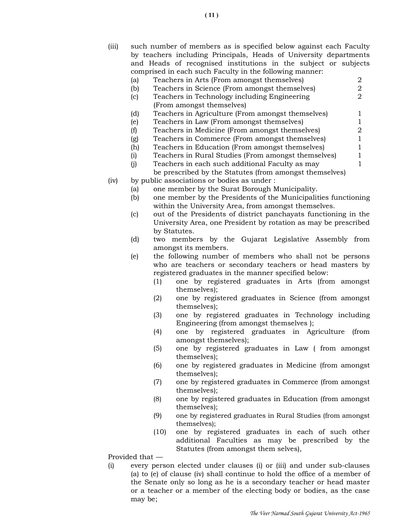(iii) such number of members as is specified below against each Faculty by teachers including Principals, Heads of University departments and Heads of recognised institutions in the subject or subjects comprised in each such Faculty in the following manner:

|      | (a) | Teachers in Arts (From amongst themselves)              | റ |  |
|------|-----|---------------------------------------------------------|---|--|
|      | (b) | Teachers in Science (From amongst themselves)           | 2 |  |
|      | (c) | Teachers in Technology including Engineering            |   |  |
|      |     | (From amongst themselves)                               |   |  |
|      | (d) | Teachers in Agriculture (From amongst themselves)       |   |  |
|      | (e) | Teachers in Law (From amongst themselves)               |   |  |
|      | (f) | Teachers in Medicine (From amongst themselves)          |   |  |
|      | (g) | Teachers in Commerce (From amongst themselves)          |   |  |
|      | (h) | Teachers in Education (From amongst themselves)         |   |  |
|      | (i) | Teachers in Rural Studies (From amongst themselves)     |   |  |
|      | (i) | Teachers in each such additional Faculty as may         |   |  |
|      |     | be prescribed by the Statutes (from amongst themselves) |   |  |
| (iv) |     | by public associations or bodies as under:              |   |  |
|      | al  | one member by the Surat Borough Municipality.           |   |  |

- (b) one member by the Presidents of the Municipalities functioning within the University Area, from amongst themselves.
- (c) out of the Presidents of district panchayats functioning in the University Area, one President by rotation as may be prescribed by Statutes.
- (d) two members by the Gujarat Legislative Assembly from amongst its members.
- (e) the following number of members who shall not be persons who are teachers or secondary teachers or head masters by registered graduates in the manner specified below:
	- (1) one by registered graduates in Arts (from amongst themselves);
	- (2) one by registered graduates in Science (from amongst themselves);
	- (3) one by registered graduates in Technology including Engineering (from amongst themselves );
	- (4) one by registered graduates in Agriculture (from amongst themselves);
	- (5) one by registered graduates in Law ( from amongst themselves);
	- (6) one by registered graduates in Medicine (from amongst themselves);
	- (7) one by registered graduates in Commerce (from amongst themselves);
	- (8) one by registered graduates in Education (from amongst themselves);
	- (9) one by registered graduates in Rural Studies (from amongst themselves);
	- (10) one by registered graduates in each of such other additional Faculties as may be prescribed by the Statutes (from amongst them selves),

Provided that —

(i) every person elected under clauses (i) or (iii) and under sub-clauses (a) to (e) of clause (iv) shall continue to hold the office of a member of the Senate only so long as he is a secondary teacher or head master or a teacher or a member of the electing body or bodies, as the case may be;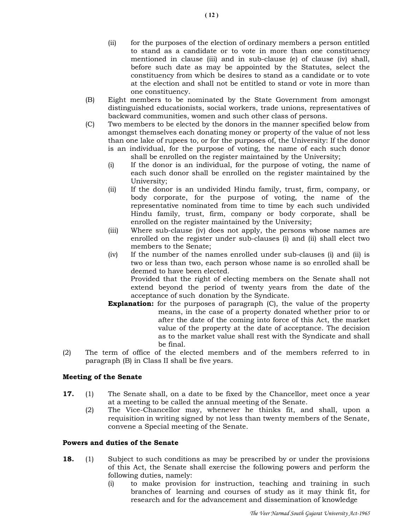- (ii) for the purposes of the election of ordinary members a person entitled to stand as a candidate or to vote in more than one constituency mentioned in clause (iii) and in sub-clause (e) of clause (iv) shall, before such date as may be appointed by the Statutes, select the constituency from which be desires to stand as a candidate or to vote at the election and shall not be entitled to stand or vote in more than one constituency.
- (B) Eight members to be nominated by the State Government from amongst distinguished educationists, social workers, trade unions, representatives of backward communities, women and such other class of persons.
- (C) Two members to be elected by the donors in the manner specified below from amongst themselves each donating money or property of the value of not less than one lake of rupees to, or for the purposes of, the University: If the donor is an individual, for the purpose of voting, the name of each such donor shall be enrolled on the register maintained by the University;
	- (i) If the donor is an individual, for the purpose of voting, the name of each such donor shall be enrolled on the register maintained by the University;
	- (ii) If the donor is an undivided Hindu family, trust, firm, company, or body corporate, for the purpose of voting, the name of the representative nominated from time to time by each such undivided Hindu family, trust, firm, company or body corporate, shall be enrolled on the register maintained by the University;
	- (iii) Where sub-clause (iv) does not apply, the persons whose names are enrolled on the register under sub-clauses (i) and (ii) shall elect two members to the Senate;
	- (iv) If the number of the names enrolled under sub-clauses (i) and (ii) is two or less than two, each person whose name is so enrolled shall be deemed to have been elected.

 Provided that the right of electing members on the Senate shall not extend beyond the period of twenty years from the date of the acceptance of such donation by the Syndicate.

- **Explanation:** for the purposes of paragraph (C), the value of the property means, in the case of a property donated whether prior to or after the date of the coming into force of this Act, the market value of the property at the date of acceptance. The decision as to the market value shall rest with the Syndicate and shall be final.
- (2) The term of office of the elected members and of the members referred to in paragraph (B) in Class II shall be five years.

## Meeting of the Senate

- 17. (1) The Senate shall, on a date to be fixed by the Chancellor, meet once a year at a meeting to be called the annual meeting of the Senate.
	- (2) The Vice-Chancellor may, whenever he thinks fit, and shall, upon a requisition in writing signed by not less than twenty members of the Senate, convene a Special meeting of the Senate.

## Powers and duties of the Senate

- **18.** (1) Subject to such conditions as may be prescribed by or under the provisions of this Act, the Senate shall exercise the following powers and perform the following duties, namely:
	- (i) to make provision for instruction, teaching and training in such branches of learning and courses of study as it may think fit, for research and for the advancement and dissemination of knowledge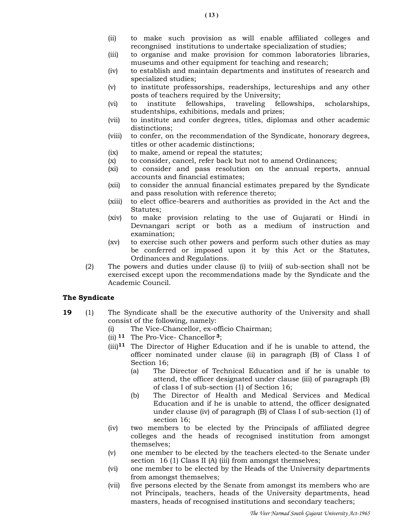- (ii) to make such provision as will enable affiliated colleges and recongnised institutions to undertake specialization of studies;
- (iii) to organise and make provision for common laboratories libraries, museums and other equipment for teaching and research;
- (iv) to establish and maintain departments and institutes of research and specialized studies;
- (v) to institute professorships, readerships, lectureships and any other posts of teachers required by the University;
- (vi) to institute fellowships, traveling fellowships, scholarships, studentships, exhibitions, medals and prizes;
- (vii) to institute and confer degrees, titles, diplomas and other academic distinctions;
- (viii) to confer, on the recommendation of the Syndicate, honorary degrees, titles or other academic distinctions;
- (ix) to make, amend or repeal the statutes;
- (x) to consider, cancel, refer back but not to amend Ordinances;
- (xi) to consider and pass resolution on the annual reports, annual accounts and financial estimates;
- (xii) to consider the annual financial estimates prepared by the Syndicate and pass resolution with reference thereto;
- (xiii) to elect office-bearers and authorities as provided in the Act and the Statutes;
- (xiv) to make provision relating to the use of Gujarati or Hindi in Devnangari script or both as a medium of instruction and examination;
- (xv) to exercise such other powers and perform such other duties as may be conferred or imposed upon it by this Act or the Statutes, Ordinances and Regulations.
- (2) The powers and duties under clause (i) to (viii) of sub-section shall not be exercised except upon the recommendations made by the Syndicate and the Academic Council.

## The Syndicate

- 19 (1) The Syndicate shall be the executive authority of the University and shall consist of the following, namely:
	- (i) The Vice-Chancellor, ex-officio Chairman;
	- (ii)  $11$  The Pro-Vice- Chancellor 3;
	- $(iii)$ <sup>11</sup> The Director of Higher Education and if he is unable to attend, the officer nominated under clause (ii) in paragraph (B) of Class I of Section 16;
		- (a) The Director of Technical Education and if he is unable to attend, the officer designated under clause (iii) of paragraph (B) of class I of sub-section (1) of Section 16;
		- (b) The Director of Health and Medical Services and Medical Education and if he is unable to attend, the officer designated under clause (iv) of paragraph (B) of Class I of sub-section (1) of section 16;
	- (iv) two members to be elected by the Principals of affiliated degree colleges and the heads of recognised institution from amongst themselves;
	- (v) one member to be elected by the teachers elected-to the Senate under section 16 (1) Class II (A) (iii) from amongst themselves;
	- (vi) one member to be elected by the Heads of the University departments from amongst themselves;
	- (vii) five persons elected by the Senate from amongst its members who are not Principals, teachers, heads of the University departments, head masters, heads of recognised institutions and secondary teachers;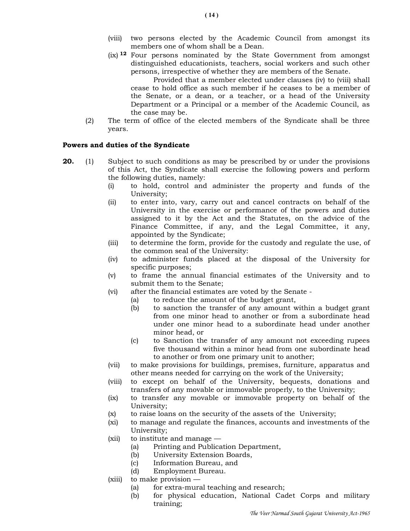- (viii) two persons elected by the Academic Council from amongst its members one of whom shall be a Dean.
- (ix) 12 Four persons nominated by the State Government from amongst distinguished educationists, teachers, social workers and such other persons, irrespective of whether they are members of the Senate.

 Provided that a member elected under clauses (iv) to (viii) shall cease to hold office as such member if he ceases to be a member of the Senate, or a dean, or a teacher, or a head of the University Department or a Principal or a member of the Academic Council, as the case may be.

 (2) The term of office of the elected members of the Syndicate shall be three years.

#### Powers and duties of the Syndicate

- **20.** (1) Subject to such conditions as may be prescribed by or under the provisions of this Act, the Syndicate shall exercise the following powers and perform the following duties, namely:
	- (i) to hold, control and administer the property and funds of the University;
	- (ii) to enter into, vary, carry out and cancel contracts on behalf of the University in the exercise or performance of the powers and duties assigned to it by the Act and the Statutes, on the advice of the Finance Committee, if any, and the Legal Committee, it any, appointed by the Syndicate;
	- (iii) to determine the form, provide for the custody and regulate the use, of the common seal of the University:
	- (iv) to administer funds placed at the disposal of the University for specific purposes;
	- (v) to frame the annual financial estimates of the University and to submit them to the Senate;
	- (vi) after the financial estimates are voted by the Senate
		- (a) to reduce the amount of the budget grant,
		- (b) to sanction the transfer of any amount within a budget grant from one minor head to another or from a subordinate head under one minor head to a subordinate head under another minor head, or
		- (c) to Sanction the transfer of any amount not exceeding rupees five thousand within a minor head from one subordinate head to another or from one primary unit to another;
	- (vii) to make provisions for buildings, premises, furniture, apparatus and other means needed for carrying on the work of the University;
	- (viii) to except on behalf of the University, bequests, donations and transfers of any movable or immovable properly, to the University;
	- (ix) to transfer any movable or immovable property on behalf of the University;
	- (x) to raise loans on the security of the assets of the University;
	- (xi) to manage and regulate the finances, accounts and investments of the University;
	- (xii) to institute and manage
		- (a) Printing and Publication Department,
		- (b) University Extension Boards,
		- (c) Information Bureau, and
		- (d) Employment Bureau.
	- (xiii) to make provision
		- (a) for extra-mural teaching and research;
		- (b) for physical education, National Cadet Corps and military training;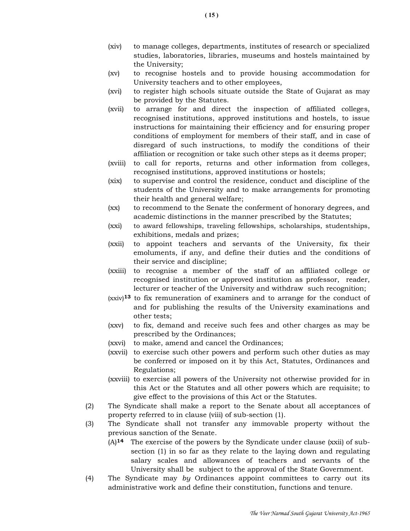- (xiv) to manage colleges, departments, institutes of research or specialized studies, laboratories, libraries, museums and hostels maintained by the University;
- (xv) to recognise hostels and to provide housing accommodation for University teachers and to other employees,
- (xvi) to register high schools situate outside the State of Gujarat as may be provided by the Statutes.
- (xvii) to arrange for and direct the inspection of affiliated colleges, recognised institutions, approved institutions and hostels, to issue instructions for maintaining their efficiency and for ensuring proper conditions of employment for members of their staff, and in case of disregard of such instructions, to modify the conditions of their affiliation or recognition or take such other steps as it deems proper;
- (xviii) to call for reports, returns and other information from colleges, recognised institutions, approved institutions or hostels;
- (xix) to supervise and control the residence, conduct and discipline of the students of the University and to make arrangements for promoting their health and general welfare;
- (xx) to recommend to the Senate the conferment of honorary degrees, and academic distinctions in the manner prescribed by the Statutes;
- (xxi) to award fellowships, traveling fellowships, scholarships, studentships, exhibitions, medals and prizes;
- (xxii) to appoint teachers and servants of the University, fix their emoluments, if any, and define their duties and the conditions of their service and discipline;
- (xxiii) to recognise a member of the staff of an affiliated college or recognised institution or approved institution as professor, reader, lecturer or teacher of the University and withdraw such recognition;
- $(xxi)$ <sup>13</sup> to fix remuneration of examiners and to arrange for the conduct of and for publishing the results of the University examinations and other tests;
- (xxv) to fix, demand and receive such fees and other charges as may be prescribed by the Ordinances;
- (xxvi) to make, amend and cancel the Ordinances;
- (xxvii) to exercise such other powers and perform such other duties as may be conferred or imposed on it by this Act, Statutes, Ordinances and Regulations;
- (xxviii) to exercise all powers of the University not otherwise provided for in this Act or the Statutes and all other powers which are requisite; to give effect to the provisions of this Act or the Statutes.
- (2) The Syndicate shall make a report to the Senate about all acceptances of property referred to in clause (viii) of sub-section (1).
- (3) The Syndicate shall not transfer any immovable property without the previous sanction of the Senate.
	- $(A)$ <sup>14</sup> The exercise of the powers by the Syndicate under clause (xxii) of subsection (1) in so far as they relate to the laying down and regulating salary scales and allowances of teachers and servants of the University shall be subject to the approval of the State Government.
- (4) The Syndicate may by Ordinances appoint committees to carry out its administrative work and define their constitution, functions and tenure.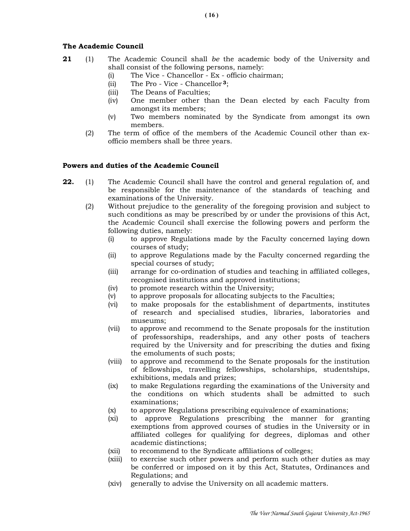## The Academic Council

- 21 (1) The Academic Council shall be the academic body of the University and shall consist of the following persons, namely:
	- (i) The Vice Chancellor Ex officio chairman;
	- (ii) The Pro Vice Chancellor <sup>3</sup>;
	- (iii) The Deans of Faculties;
	- (iv) One member other than the Dean elected by each Faculty from amongst its members;
	- (v) Two members nominated by the Syndicate from amongst its own members.
	- (2) The term of office of the members of the Academic Council other than ex officio members shall be three years.

## Powers and duties of the Academic Council

- 22. (1) The Academic Council shall have the control and general regulation of, and be responsible for the maintenance of the standards of teaching and examinations of the University.
	- (2) Without prejudice to the generality of the foregoing provision and subject to such conditions as may be prescribed by or under the provisions of this Act, the Academic Council shall exercise the following powers and perform the following duties, namely:
		- (i) to approve Regulations made by the Faculty concerned laying down courses of study;
		- (ii) to approve Regulations made by the Faculty concerned regarding the special courses of study;
		- (iii) arrange for co-ordination of studies and teaching in affiliated colleges, recognised institutions and approved institutions;
		- (iv) to promote research within the University;
		- (v) to approve proposals for allocating subjects to the Faculties;
		- (vi) to make proposals for the establishment of departments, institutes of research and specialised studies, libraries, laboratories and museums;
		- (vii) to approve and recommend to the Senate proposals for the institution of professorships, readerships, and any other posts of teachers required by the University and for prescribing the duties and fixing the emoluments of such posts;
		- (viii) to approve and recommend to the Senate proposals for the institution of fellowships, travelling fellowships, scholarships, studentships, exhibitions, medals and prizes;
		- (ix) to make Regulations regarding the examinations of the University and the conditions on which students shall be admitted to such examinations;
		- (x) to approve Regulations prescribing equivalence of examinations;
		- (xi) to approve Regulations prescribing the manner for granting exemptions from approved courses of studies in the University or in affiliated colleges for qualifying for degrees, diplomas and other academic distinctions;
		- (xii) to recommend to the Syndicate affiliations of colleges;
		- (xiii) to exercise such other powers and perform such other duties as may be conferred or imposed on it by this Act, Statutes, Ordinances and Regulations; and
		- (xiv) generally to advise the University on all academic matters.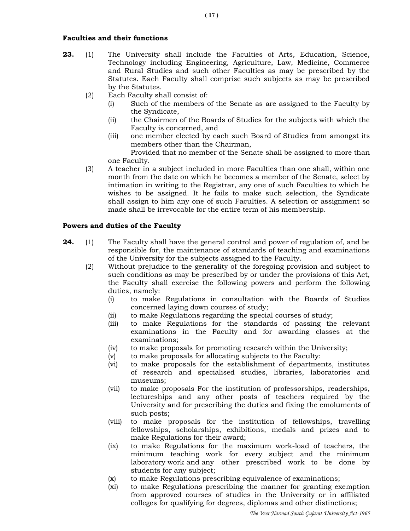## Faculties and their functions

- 23. (1) The University shall include the Faculties of Arts, Education, Science, Technology including Engineering, Agriculture, Law, Medicine, Commerce and Rural Studies and such other Faculties as may be prescribed by the Statutes. Each Faculty shall comprise such subjects as may be prescribed by the Statutes.
	- (2) Each Faculty shall consist of:
		- (i) Such of the members of the Senate as are assigned to the Faculty by the Syndicate,
		- (ii) the Chairmen of the Boards of Studies for the subjects with which the Faculty is concerned, and
		- (iii) one member elected by each such Board of Studies from amongst its members other than the Chairman,

 Provided that no member of the Senate shall be assigned to more than one Faculty.

 (3) A teacher in a subject included in more Faculties than one shall, within one month from the date on which he becomes a member of the Senate, select by intimation in writing to the Registrar, any one of such Faculties to which he wishes to be assigned. It he fails to make such selection, the Syndicate shall assign to him any one of such Faculties. A selection or assignment so made shall be irrevocable for the entire term of his membership.

### Powers and duties of the Faculty

- **24.** (1) The Faculty shall have the general control and power of regulation of, and be responsible for, the maintenance of standards of teaching and examinations of the University for the subjects assigned to the Faculty.
	- (2) Without prejudice to the generality of the foregoing provision and subject to such conditions as may be prescribed by or under the provisions of this Act, the Faculty shall exercise the following powers and perform the following duties, namely:
		- (i) to make Regulations in consultation with the Boards of Studies concerned laying down courses of study;
		- (ii) to make Regulations regarding the special courses of study;
		- (iii) to make Regulations for the standards of passing the relevant examinations in the Faculty and for awarding classes at the examinations;
		- (iv) to make proposals for promoting research within the University;
		- (v) to make proposals for allocating subjects to the Faculty:
		- (vi) to make proposals for the establishment of departments, institutes of research and specialised studies, libraries, laboratories and museums;
		- (vii) to make proposals For the institution of professorships, readerships, lectureships and any other posts of teachers required by the University and for prescribing the duties and fixing the emoluments of such posts;
		- (viii) to make proposals for the institution of fellowships, travelling fellowships, scholarships, exhibitions, medals and prizes and to make Regulations for their award;
		- (ix) to make Regulations for the maximum work-load of teachers, the minimum teaching work for every subject and the minimum laboratory work and any other prescribed work to be done by students for any subject;
		- (x) to make Regulations prescribing equivalence of examinations;
		- (xi) to make Regulations prescribing the manner for granting exemption from approved courses of studies in the University or in affiliated colleges for qualifying for degrees, diplomas and other distinctions;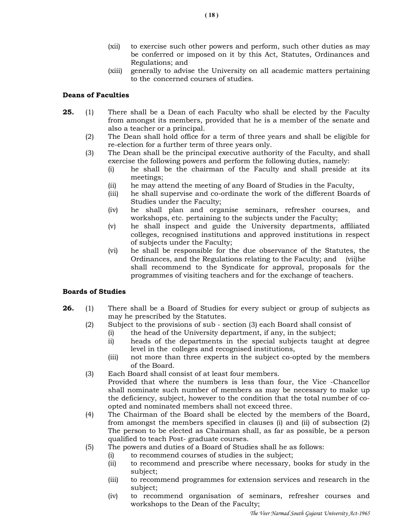- (xii) to exercise such other powers and perform, such other duties as may be conferred or imposed on it by this Act, Statutes, Ordinances and Regulations; and
- (xiii) generally to advise the University on all academic matters pertaining to the concerned courses of studies.

## Deans of Faculties

- **25.** (1) There shall be a Dean of each Faculty who shall be elected by the Faculty from amongst its members, provided that he is a member of the senate and also a teacher or a principal.
	- (2) The Dean shall hold office for a term of three years and shall be eligible for re-election for a further term of three years only.
	- (3) The Dean shall be the principal executive authority of the Faculty, and shall exercise the following powers and perform the following duties, namely:
		- (i) he shall be the chairman of the Faculty and shall preside at its meetings;
		- (ii) he may attend the meeting of any Board of Studies in the Faculty,
		- (iii) he shall supervise and co-ordinate the work of the different Boards of Studies under the Faculty;
		- (iv) he shall plan and organise seminars, refresher courses, and workshops, etc. pertaining to the subjects under the Faculty;
		- (v) he shall inspect and guide the University departments, affiliated colleges, recognised institutions and approved institutions in respect of subjects under the Faculty;
		- (vi) he shall be responsible for the due observance of the Statutes, the Ordinances, and the Regulations relating to the Faculty; and (vii) he shall recommend to the Syndicate for approval, proposals for the programmes of visiting teachers and for the exchange of teachers.

## Boards of Studies

- **26.** (1) There shall be a Board of Studies for every subject or group of subjects as may he prescribed by the Statutes.
	- (2) Subject to the provisions of sub section (3) each Board shall consist of
		- (i) the head of the University department, if any, in the subject;
		- ii) heads of the departments in the special subjects taught at degree level in the colleges and recognised institutions,
		- (iii) not more than three experts in the subject co-opted by the members of the Board.
	- (3) Each Board shall consist of at least four members.
		- Provided that where the numbers is less than four, the Vice -Chancellor shall nominate such number of members as may be necessary to make up the deficiency, subject, however to the condition that the total number of coopted and nominated members shall not exceed three.
	- (4) The Chairman of the Board shall be elected by the members of the Board, from amongst the members specified in clauses (i) and (ii) of subsection (2) The person to be elected as Chairman shall, as far as possible, be a person qualified to teach Post- graduate courses.
	- (5) The powers and duties of a Board of Studies shall he as follows:
		- (i) to recommend courses of studies in the subject;
		- (ii) to recommend and prescribe where necessary, books for study in the subject;
		- (iii) to recommend programmes for extension services and research in the subject;
		- (iv) to recommend organisation of seminars, refresher courses and workshops to the Dean of the Faculty;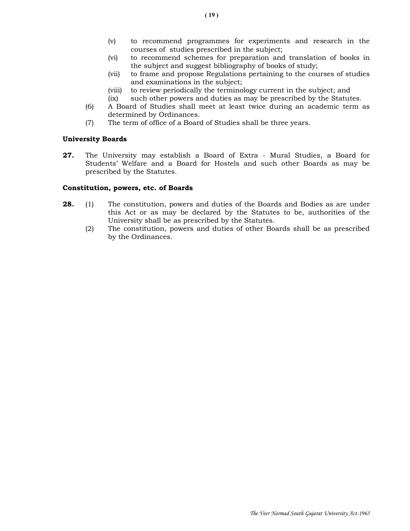- (v) to recommend programmes for experiments and research in the courses of studies prescribed in the subject;
- (vi) to recommend schemes for preparation and translation of books in the subject and suggest bibliography of books of study;
- (vii) to frame and propose Regulations pertaining to the courses of studies and examinations in the subject;
- (viii) to review periodically the terminology current in the subject; and
- (ix) such other powers and duties as may be prescribed by the Statutes.
- (6) A Board of Studies shall meet at least twice during an academic term as determined by Ordinances.
- (7) The term of office of a Board of Studies shall be three years.

### University Boards

27. The University may establish a Board of Extra - Mural Studies, a Board for Students' Welfare and a Board for Hostels and such other Boards as may be prescribed by the Statutes.

## Constitution, powers, etc. of Boards

- **28.** (1) The constitution, powers and duties of the Boards and Bodies as are under this Act or as may be declared by the Statutes to be, authorities of the University shall be as prescribed by the Statutes.
	- (2) The constitution, powers and duties of other Boards shall be as prescribed by the Ordinances.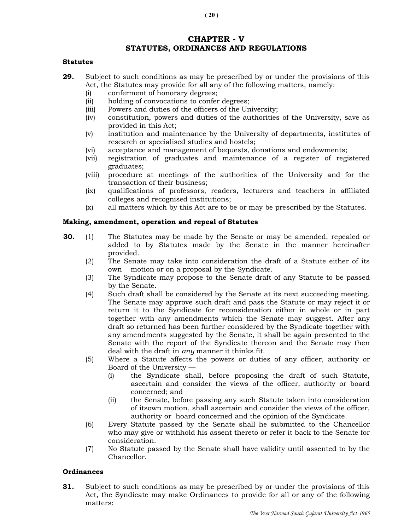# CHAPTER - V STATUTES, ORDINANCES AND REGULATIONS

#### **Statutes**

- 29. Subject to such conditions as may be prescribed by or under the provisions of this Act, the Statutes may provide for all any of the following matters, namely:
	- (i) conferment of honorary degrees;
	- (ii) holding of convocations to confer degrees;
	- (iii) Powers and duties of the officers of the University;
	- (iv) constitution, powers and duties of the authorities of the University, save as provided in this Act;
	- (v) institution and maintenance by the University of departments, institutes of research or specialised studies and hostels;
	- (vi) acceptance and management of bequests, donations and endowments;
	- (vii) registration of graduates and maintenance of a register of registered graduates;
	- (viii) procedure at meetings of the authorities of the University and for the transaction of their business;
	- (ix) qualifications of professors, readers, lecturers and teachers in affiliated colleges and recognised institutions;
	- (x) all matters which by this Act are to be or may be prescribed by the Statutes.

## Making, amendment, operation and repeal of Statutes

- **30.** (1) The Statutes may be made by the Senate or may be amended, repealed or added to by Statutes made by the Senate in the manner hereinafter provided.
	- (2) The Senate may take into consideration the draft of a Statute either of its own motion or on a proposal by the Syndicate.
	- (3) The Syndicate may propose to the Senate draft of any Statute to be passed by the Senate.
	- (4) Such draft shall be considered by the Senate at its next succeeding meeting. The Senate may approve such draft and pass the Statute or may reject it or return it to the Syndicate for reconsideration either in whole or in part together with any amendments which the Senate may suggest. After any draft so returned has been further considered by the Syndicate together with any amendments suggested by the Senate, it shall be again presented to the Senate with the report of the Syndicate thereon and the Senate may then deal with the draft in any manner it thinks fit.
	- (5) Where a Statute affects the powers or duties of any officer, authority or Board of the University —
		- (i) the Syndicate shall, before proposing the draft of such Statute, ascertain and consider the views of the officer, authority or board concerned; and
		- (ii) the Senate, before passing any such Statute taken into consideration of itsown motion, shall ascertain and consider the views of the officer, authority or hoard concerned and the opinion of the Syndicate.
	- (6) Every Statute passed by the Senate shall he submitted to the Chancellor who may give or withhold his assent thereto or refer it back to the Senate for consideration.
	- (7) No Statute passed by the Senate shall have validity until assented to by the Chancellor.

## **Ordinances**

**31.** Subject to such conditions as may be prescribed by or under the provisions of this Act, the Syndicate may make Ordinances to provide for all or any of the following matters: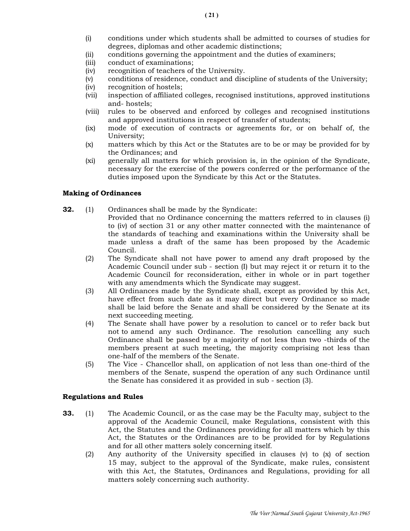- (i) conditions under which students shall be admitted to courses of studies for degrees, diplomas and other academic distinctions;
- (ii) conditions governing the appointment and the duties of examiners;
- (iii) conduct of examinations;
- (iv) recognition of teachers of the University.
- (v) conditions of residence, conduct and discipline of students of the University;
- (iv) recognition of hostels;
- (vii) inspection of affiliated colleges, recognised institutions, approved institutions and- hostels;
- (viii) rules to be observed and enforced by colleges and recognised institutions and approved institutions in respect of transfer of students;
- (ix) mode of execution of contracts or agreements for, or on behalf of, the University;
- (x) matters which by this Act or the Statutes are to be or may be provided for by the Ordinances; and
- (xi) generally all matters for which provision is, in the opinion of the Syndicate, necessary for the exercise of the powers conferred or the performance of the duties imposed upon the Syndicate by this Act or the Statutes.

## Making of Ordinances

- **32.** (1) Ordinances shall be made by the Syndicate: Provided that no Ordinance concerning the matters referred to in clauses (i) to (iv) of section 31 or any other matter connected with the maintenance of the standards of teaching and examinations within the University shall be made unless a draft of the same has been proposed by the Academic Council.
	- (2) The Syndicate shall not have power to amend any draft proposed by the Academic Council under sub - section (I) but may reject it or return it to the Academic Council for reconsideration, either in whole or in part together with any amendments which the Syndicate may suggest.
	- (3) All Ordinances made by the Syndicate shall, except as provided by this Act, have effect from such date as it may direct but every Ordinance so made shall be laid before the Senate and shall be considered by the Senate at its next succeeding meeting.
	- (4) The Senate shall have power by a resolution to cancel or to refer back but not to amend any such Ordinance. The resolution cancelling any such Ordinance shall be passed by a majority of not less than two -thirds of the members present at such meeting, the majority comprising not less than one-half of the members of the Senate.
	- (5) The Vice Chancellor shall, on application of not less than one-third of the members of the Senate, suspend the operation of any such Ordinance until the Senate has considered it as provided in sub - section (3).

## Regulations and Rules

- 33. (1) The Academic Council, or as the case may be the Faculty may, subject to the approval of the Academic Council, make Regulations, consistent with this Act, the Statutes and the Ordinances providing for all matters which by this Act, the Statutes or the Ordinances are to be provided for by Regulations and for all other matters solely concerning itself.
	- (2) Any authority of the University specified in clauses (v) to (x) of section 15 may, subject to the approval of the Syndicate, make rules, consistent with this Act, the Statutes, Ordinances and Regulations, providing for all matters solely concerning such authority.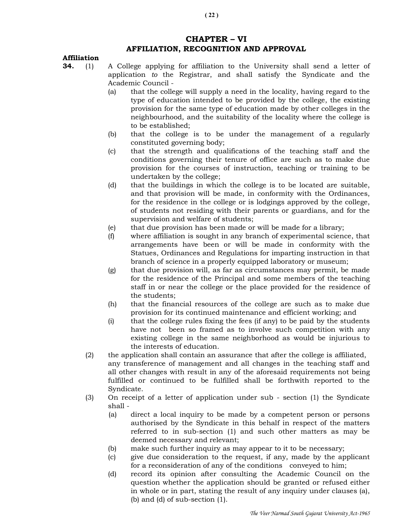# CHAPTER – VI AFFILIATION, RECOGNITION AND APPROVAL

## Affiliation

- 34. (1) A College applying for affiliation to the University shall send a letter of application to the Registrar, and shall satisfy the Syndicate and the Academic Council -
	- (a) that the college will supply a need in the locality, having regard to the type of education intended to be provided by the college, the existing provision for the same type of education made by other colleges in the neighbourhood, and the suitability of the locality where the college is to be established;
	- (b) that the college is to be under the management of a regularly constituted governing body;
	- (c) that the strength and qualifications of the teaching staff and the conditions governing their tenure of office are such as to make due provision for the courses of instruction, teaching or training to be undertaken by the college;
	- (d) that the buildings in which the college is to be located are suitable, and that provision will be made, in conformity with the Ordinances, for the residence in the college or is lodgings approved by the college, of students not residing with their parents or guardians, and for the supervision and welfare of students;
	- (e) that due provision has been made or will be made for a library;
	- (f) where affiliation is sought in any branch of experimental science, that arrangements have been or will be made in conformity with the Statues, Ordinances and Regulations for imparting instruction in that branch of science in a properly equipped laboratory or museum;
	- (g) that due provision will, as far as circumstances may permit, be made for the residence of the Principal and some members of the teaching staff in or near the college or the place provided for the residence of the students;
	- (h) that the financial resources of the college are such as to make due provision for its continued maintenance and efficient working; and
	- (i) that the college rules fixing the fees (if any) to be paid by the students have not been so framed as to involve such competition with any existing college in the same neighborhood as would be injurious to the interests of education.
	- (2) the application shall contain an assurance that after the college is affiliated, any transference of management and all changes in the teaching staff and all other changes with result in any of the aforesaid requirements not being fulfilled or continued to be fulfilled shall be forthwith reported to the Syndicate.
	- (3) On receipt of a letter of application under sub section (1) the Syndicate shall -
		- (a) direct a local inquiry to be made by a competent person or persons authorised by the Syndicate in this behalf in respect of the matters referred to in sub-section (1) and such other matters as may be deemed necessary and relevant;
		- (b) make such further inquiry as may appear to it to be necessary;
		- (c) give due consideration to the request, if any, made by the applicant for a reconsideration of any of the conditions conveyed to him;
		- (d) record its opinion after consulting the Academic Council on the question whether the application should be granted or refused either in whole or in part, stating the result of any inquiry under clauses (a), (b) and (d) of sub-section (1).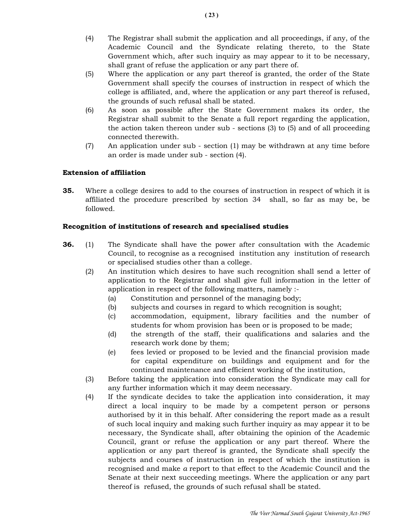- (4) The Registrar shall submit the application and all proceedings, if any, of the Academic Council and the Syndicate relating thereto, to the State Government which, after such inquiry as may appear to it to be necessary, shall grant of refuse the application or any part there of.
- (5) Where the application or any part thereof is granted, the order of the State Government shall specify the courses of instruction in respect of which the college is affiliated, and, where the application or any part thereof is refused, the grounds of such refusal shall be stated.
- (6) As soon as possible after the State Government makes its order, the Registrar shall submit to the Senate a full report regarding the application, the action taken thereon under sub - sections (3) to (5) and of all proceeding connected therewith.
- (7) An application under sub section (1) may be withdrawn at any time before an order is made under sub - section (4).

## Extension of affiliation

35. Where a college desires to add to the courses of instruction in respect of which it is affiliated the procedure prescribed by section 34 shall, so far as may be, be followed.

# Recognition of institutions of research and specialised studies

- **36.** (1) The Syndicate shall have the power after consultation with the Academic Council, to recognise as a recognised institution any institution of research or specialised studies other than a college.
	- (2) An institution which desires to have such recognition shall send a letter of application to the Registrar and shall give full information in the letter of application in respect of the following matters, namely :-
		- (a) Constitution and personnel of the managing body;
		- (b) subjects and courses in regard to which recognition is sought;
		- (c) accommodation, equipment, library facilities and the number of students for whom provision has been or is proposed to be made;
		- (d) the strength of the staff, their qualifications and salaries and the research work done by them;
		- (e) fees levied or proposed to be levied and the financial provision made for capital expenditure on buildings and equipment and for the continued maintenance and efficient working of the institution,
	- (3) Before taking the application into consideration the Syndicate may call for any further information which it may deem necessary.
	- (4) If the syndicate decides to take the application into consideration, it may direct a local inquiry to be made by a competent person or persons authorised by it in this behalf. After considering the report made as a result of such local inquiry and making such further inquiry as may appear it to be necessary, the Syndicate shall, after obtaining the opinion of the Academic Council, grant or refuse the application or any part thereof. Where the application or any part thereof is granted, the Syndicate shall specify the subjects and courses of instruction in respect of which the institution is recognised and make a report to that effect to the Academic Council and the Senate at their next succeeding meetings. Where the application or any part thereof is refused, the grounds of such refusal shall be stated.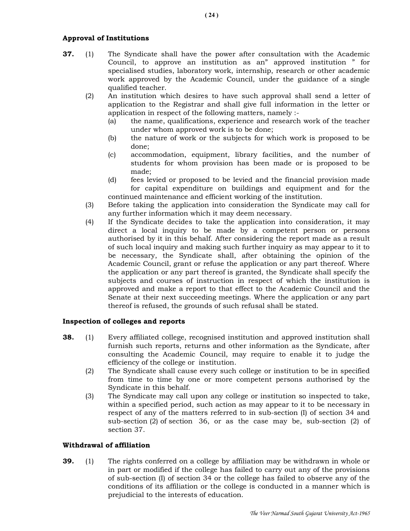## Approval of Institutions

- **37.** (1) The Syndicate shall have the power after consultation with the Academic Council, to approve an institution as an" approved institution " for specialised studies, laboratory work, internship, research or other academic work approved by the Academic Council, under the guidance of a single qualified teacher.
	- (2) An institution which desires to have such approval shall send a letter of application to the Registrar and shall give full information in the letter or application in respect of the following matters, namely :-
		- (a) the name, qualifications, experience and research work of the teacher under whom approved work is to be done;
		- (b) the nature of work or the subjects for which work is proposed to be done;
		- (c) accommodation, equipment, library facilities, and the number of students for whom provision has been made or is proposed to be made;
		- (d) fees levied or proposed to be levied and the financial provision made for capital expenditure on buildings and equipment and for the continued maintenance and efficient working of the institution.
	- (3) Before taking the application into consideration the Syndicate may call for any further information which it may deem necessary.
	- (4) If the Syndicate decides to take the application into consideration, it may direct a local inquiry to be made by a competent person or persons authorised by it in this behalf. After considering the report made as a result of such local inquiry and making such further inquiry as may appear to it to be necessary, the Syndicate shall, after obtaining the opinion of the Academic Council, grant or refuse the application or any part thereof. Where the application or any part thereof is granted, the Syndicate shall specify the subjects and courses of instruction in respect of which the institution is approved and make a report to that effect to the Academic Council and the Senate at their next succeeding meetings. Where the application or any part thereof is refused, the grounds of such refusal shall be stated.

## Inspection of colleges and reports

- **38.** (1) Every affiliated college, recognised institution and approved institution shall furnish such reports, returns and other information as the Syndicate, after consulting the Academic Council, may require to enable it to judge the efficiency of the college or institution.
	- (2) The Syndicate shall cause every such college or institution to be in specified from time to time by one or more competent persons authorised by the Syndicate in this behalf.
	- (3) The Syndicate may call upon any college or institution so inspected to take, within a specified period, such action as may appear to it to be necessary in respect of any of the matters referred to in sub-section (I) of section 34 and sub-section (2) of section 36, or as the case may be, sub-section (2) of section 37.

### Withdrawal of affiliation

**39.** (1) The rights conferred on a college by affiliation may be withdrawn in whole or in part or modified if the college has failed to carry out any of the provisions of sub-section (I) of section 34 or the college has failed to observe any of the conditions of its affiliation or the college is conducted in a manner which is prejudicial to the interests of education.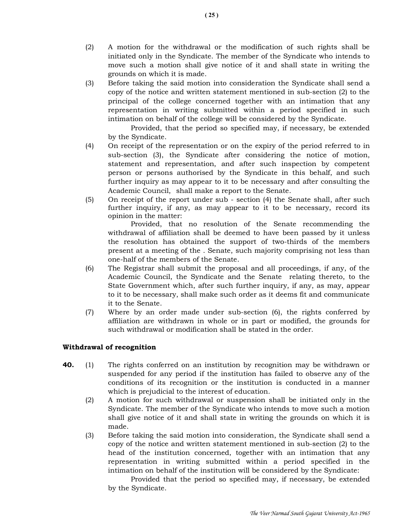- (2) A motion for the withdrawal or the modification of such rights shall be initiated only in the Syndicate. The member of the Syndicate who intends to move such a motion shall give notice of it and shall state in writing the grounds on which it is made.
- (3) Before taking the said motion into consideration the Syndicate shall send a copy of the notice and written statement mentioned in sub-section (2) to the principal of the college concerned together with an intimation that any representation in writing submitted within a period specified in such intimation on behalf of the college will be considered by the Syndicate.

 Provided, that the period so specified may, if necessary, be extended by the Syndicate.

- (4) On receipt of the representation or on the expiry of the period referred to in sub-section (3), the Syndicate after considering the notice of motion, statement and representation, and after such inspection by competent person or persons authorised by the Syndicate in this behalf, and such further inquiry as may appear to it to be necessary and after consulting the Academic Council, shall make a report to the Senate.
- (5) On receipt of the report under sub section (4) the Senate shall, after such further inquiry, if any, as may appear to it to be necessary, record its opinion in the matter:

 Provided, that no resolution of the Senate recommending the withdrawal of affiliation shall be deemed to have been passed by it unless the resolution has obtained the support of two-thirds of the members present at a meeting of the . Senate, such majority comprising not less than one-half of the members of the Senate.

- (6) The Registrar shall submit the proposal and all proceedings, if any, of the Academic Council, the Syndicate and the Senate relating thereto, to the State Government which, after such further inquiry, if any, as may, appear to it to be necessary, shall make such order as it deems fit and communicate it to the Senate.
- (7) Where by an order made under sub-section (6), the rights conferred by affiliation are withdrawn in whole or in part or modified, the grounds for such withdrawal or modification shall be stated in the order.

## Withdrawal of recognition

- 40. (1) The rights conferred on an institution by recognition may be withdrawn or suspended for any period if the institution has failed to observe any of the conditions of its recognition or the institution is conducted in a manner which is prejudicial to the interest of education.
	- (2) A motion for such withdrawal or suspension shall be initiated only in the Syndicate. The member of the Syndicate who intends to move such a motion shall give notice of it and shall state in writing the grounds on which it is made.
	- (3) Before taking the said motion into consideration, the Syndicate shall send a copy of the notice and written statement mentioned in sub-section (2) to the head of the institution concerned, together with an intimation that any representation in writing submitted within a period specified in the intimation on behalf of the institution will be considered by the Syndicate:

 Provided that the period so specified may, if necessary, be extended by the Syndicate.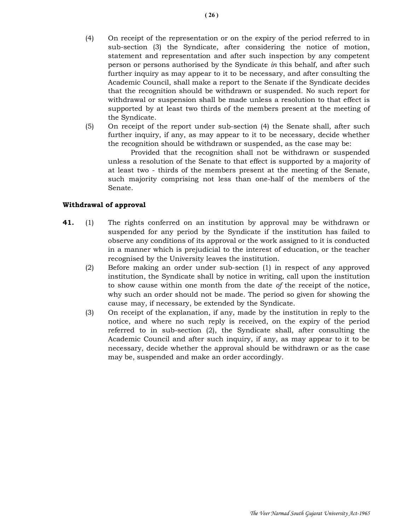- (4) On receipt of the representation or on the expiry of the period referred to in sub-section (3) the Syndicate, after considering the notice of motion, statement and representation and after such inspection by any competent person or persons authorised by the Syndicate in this behalf, and after such further inquiry as may appear to it to be necessary, and after consulting the Academic Council, shall make a report to the Senate if the Syndicate decides that the recognition should be withdrawn or suspended. No such report for withdrawal or suspension shall be made unless a resolution to that effect is supported by at least two thirds of the members present at the meeting of the Syndicate.
- (5) On receipt of the report under sub-section (4) the Senate shall, after such further inquiry, if any, as may appear to it to be necessary, decide whether the recognition should be withdrawn or suspended, as the case may be:

 Provided that the recognition shall not be withdrawn or suspended unless a resolution of the Senate to that effect is supported by a majority of at least two - thirds of the members present at the meeting of the Senate, such majority comprising not less than one-half of the members of the Senate.

## Withdrawal of approval

- 41. (1) The rights conferred on an institution by approval may be withdrawn or suspended for any period by the Syndicate if the institution has failed to observe any conditions of its approval or the work assigned to it is conducted in a manner which is prejudicial to the interest of education, or the teacher recognised by the University leaves the institution.
	- (2) Before making an order under sub-section (1) in respect of any approved institution, the Syndicate shall by notice in writing, call upon the institution to show cause within one month from the date of the receipt of the notice, why such an order should not be made. The period so given for showing the cause may, if necessary, be extended by the Syndicate.
	- (3) On receipt of the explanation, if any, made by the institution in reply to the notice, and where no such reply is received, on the expiry of the period referred to in sub-section (2), the Syndicate shall, after consulting the Academic Council and after such inquiry, if any, as may appear to it to be necessary, decide whether the approval should be withdrawn or as the case may be, suspended and make an order accordingly.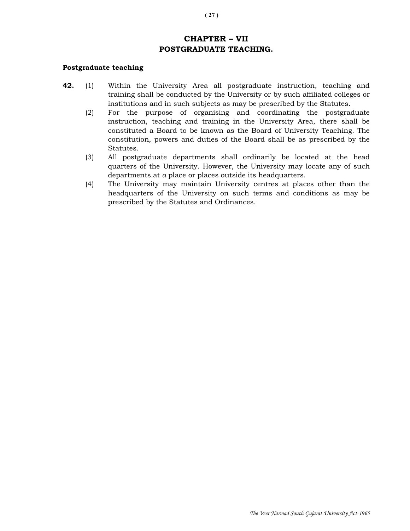# CHAPTER – VII POSTGRADUATE TEACHING.

#### Postgraduate teaching

- 42. (1) Within the University Area all postgraduate instruction, teaching and training shall be conducted by the University or by such affiliated colleges or institutions and in such subjects as may be prescribed by the Statutes.
	- (2) For the purpose of organising and coordinating the postgraduate instruction, teaching and training in the University Area, there shall be constituted a Board to be known as the Board of University Teaching. The constitution, powers and duties of the Board shall be as prescribed by the Statutes.
	- (3) All postgraduate departments shall ordinarily be located at the head quarters of the University. However, the University may locate any of such departments at a place or places outside its headquarters.
	- (4) The University may maintain University centres at places other than the headquarters of the University on such terms and conditions as may be prescribed by the Statutes and Ordinances.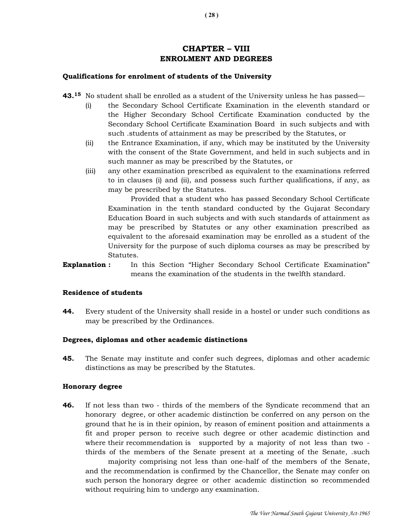# CHAPTER – VIII ENROLMENT AND DEGREES

## Qualifications for enrolment of students of the University

- 43.<sup>15</sup> No student shall be enrolled as a student of the University unless he has passed—
	- (i) the Secondary School Certificate Examination in the eleventh standard or the Higher Secondary School Certificate Examination conducted by the Secondary School Certificate Examination Board in such subjects and with such .students of attainment as may be prescribed by the Statutes, or
	- (ii) the Entrance Examination, if any, which may be instituted by the University with the consent of the State Government, and held in such subjects and in such manner as may be prescribed by the Statutes, or
	- (iii) any other examination prescribed as equivalent to the examinations referred to in clauses (i) and (ii), and possess such further qualifications, if any, as may be prescribed by the Statutes.

 Provided that a student who has passed Secondary School Certificate Examination in the tenth standard conducted by the Gujarat Secondary Education Board in such subjects and with such standards of attainment as may be prescribed by Statutes or any other examination prescribed as equivalent to the aforesaid examination may be enrolled as a student of the University for the purpose of such diploma courses as may be prescribed by Statutes.

**Explanation :** In this Section "Higher Secondary School Certificate Examination" means the examination of the students in the twelfth standard.

### Residence of students

**44.** Every student of the University shall reside in a hostel or under such conditions as may be prescribed by the Ordinances.

## Degrees, diplomas and other academic distinctions

45. The Senate may institute and confer such degrees, diplomas and other academic distinctions as may be prescribed by the Statutes.

### Honorary degree

**46.** If not less than two - thirds of the members of the Syndicate recommend that an honorary degree, or other academic distinction be conferred on any person on the ground that he is in their opinion, by reason of eminent position and attainments a fit and proper person to receive such degree or other academic distinction and where their recommendation is supported by a majority of not less than two thirds of the members of the Senate present at a meeting of the Senate, .such

 majority comprising not less than one-half of the members of the Senate, and the recommendation is confirmed by the Chancellor, the Senate may confer on such person the honorary degree or other academic distinction so recommended without requiring him to undergo any examination.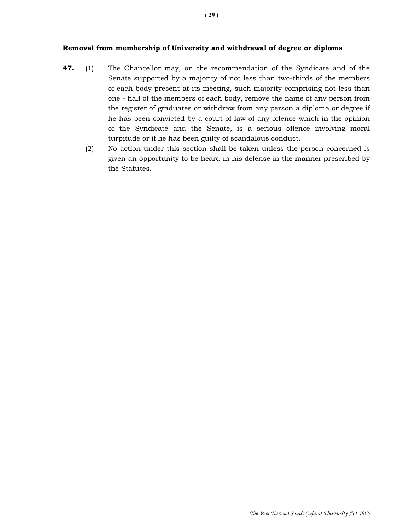## Removal from membership of University and withdrawal of degree or diploma

- 47. (1) The Chancellor may, on the recommendation of the Syndicate and of the Senate supported by a majority of not less than two-thirds of the members of each body present at its meeting, such majority comprising not less than one - half of the members of each body, remove the name of any person from the register of graduates or withdraw from any person a diploma or degree if he has been convicted by a court of law of any offence which in the opinion of the Syndicate and the Senate, is a serious offence involving moral turpitude or if he has been guilty of scandalous conduct.
	- (2) No action under this section shall be taken unless the person concerned is given an opportunity to be heard in his defense in the manner prescribed by the Statutes.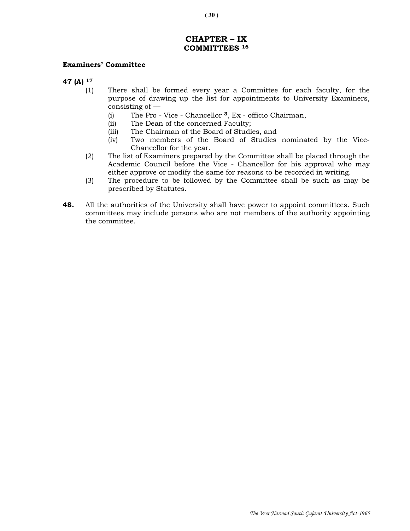# CHAPTER – IX COMMITTEES <sup>16</sup>

### Examiners' Committee

- 47 (A) <sup>17</sup>
	- (1) There shall be formed every year a Committee for each faculty, for the purpose of drawing up the list for appointments to University Examiners, consisting of —
		- (i) The Pro Vice Chancellor 3, Ex officio Chairman,
		- (ii) The Dean of the concerned Faculty;
		- (iii) The Chairman of the Board of Studies, and
		- (iv) Two members of the Board of Studies nominated by the Vice- Chancellor for the year.
	- (2) The list of Examiners prepared by the Committee shall be placed through the Academic Council before the Vice - Chancellor for his approval who may either approve or modify the same for reasons to be recorded in writing.
	- (3) The procedure to be followed by the Committee shall be such as may be prescribed by Statutes.
- **48.** All the authorities of the University shall have power to appoint committees. Such committees may include persons who are not members of the authority appointing the committee.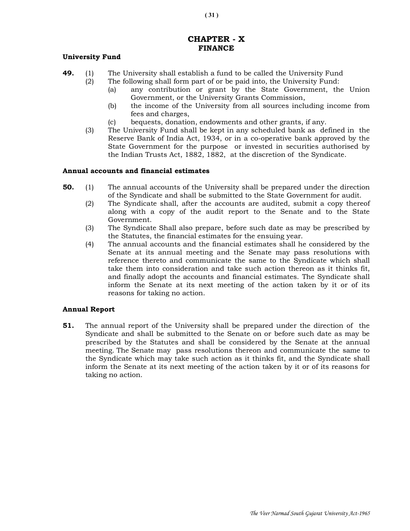# CHAPTER - X FINANCE

## University Fund

- **49.** (1) The University shall establish a fund to be called the University Fund
	- (2) The following shall form part of or be paid into, the University Fund:
		- (a) any contribution or grant by the State Government, the Union Government, or the University Grants Commission,
		- (b) the income of the University from all sources including income from fees and charges,
		- (c) bequests, donation, endowments and other grants, if any.
	- (3) The University Fund shall be kept in any scheduled bank as defined in the Reserve Bank of India Act, 1934, or in a co-operative bank approved by the State Government for the purpose or invested in securities authorised by the Indian Trusts Act, 1882, 1882, at the discretion of the Syndicate.

#### Annual accounts and financial estimates

- 50. (1) The annual accounts of the University shall be prepared under the direction of the Syndicate and shall be submitted to the State Government for audit.
	- (2) The Syndicate shall, after the accounts are audited, submit a copy thereof along with a copy of the audit report to the Senate and to the State Government.
	- (3) The Syndicate Shall also prepare, before such date as may be prescribed by the Statutes, the financial estimates for the ensuing year.
	- (4) The annual accounts and the financial estimates shall he considered by the Senate at its annual meeting and the Senate may pass resolutions with reference thereto and communicate the same to the Syndicate which shall take them into consideration and take such action thereon as it thinks fit, and finally adopt the accounts and financial estimates. The Syndicate shall inform the Senate at its next meeting of the action taken by it or of its reasons for taking no action.

### Annual Report

51. The annual report of the University shall be prepared under the direction of the Syndicate and shall be submitted to the Senate on or before such date as may be prescribed by the Statutes and shall be considered by the Senate at the annual meeting. The Senate may pass resolutions thereon and communicate the same to the Syndicate which may take such action as it thinks fit, and the Syndicate shall inform the Senate at its next meeting of the action taken by it or of its reasons for taking no action.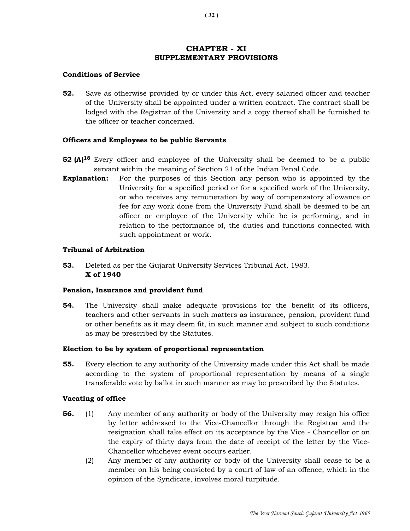# CHAPTER - XI SUPPLEMENTARY PROVISIONS

## Conditions of Service

52. Save as otherwise provided by or under this Act, every salaried officer and teacher of the University shall be appointed under a written contract. The contract shall be lodged with the Registrar of the University and a copy thereof shall be furnished to the officer or teacher concerned.

## Officers and Employees to be public Servants

- **52 (A)**<sup>18</sup> Every officer and employee of the University shall be deemed to be a public servant within the meaning of Section 21 of the Indian Penal Code.
- **Explanation:** For the purposes of this Section any person who is appointed by the University for a specified period or for a specified work of the University, or who receives any remuneration by way of compensatory allowance or fee for any work done from the University Fund shall be deemed to be an officer or employee of the University while he is performing, and in relation to the performance of, the duties and functions connected with such appointment or work.

## Tribunal of Arbitration

53. Deleted as per the Gujarat University Services Tribunal Act, 1983. X of 1940

### Pension, Insurance and provident fund

54. The University shall make adequate provisions for the benefit of its officers, teachers and other servants in such matters as insurance, pension, provident fund or other benefits as it may deem fit, in such manner and subject to such conditions as may be prescribed by the Statutes.

### Election to be by system of proportional representation

55. Every election to any authority of the University made under this Act shall be made according to the system of proportional representation by means of a single transferable vote by ballot in such manner as may be prescribed by the Statutes.

### Vacating of office

- 56. (1) Any member of any authority or body of the University may resign his office by letter addressed to the Vice-Chancellor through the Registrar and the resignation shall take effect on its acceptance by the Vice - Chancellor or on the expiry of thirty days from the date of receipt of the letter by the Vice- Chancellor whichever event occurs earlier.
	- (2) Any member of any authority or body of the University shall cease to be a member on his being convicted by a court of law of an offence, which in the opinion of the Syndicate, involves moral turpitude.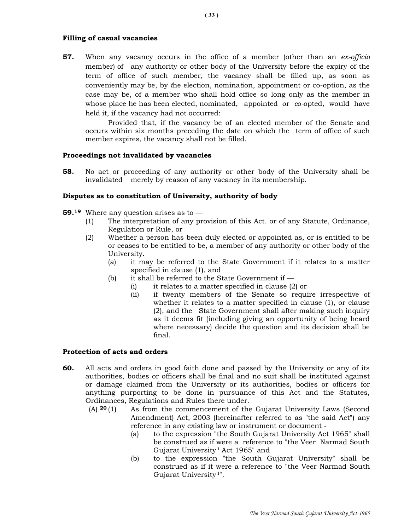### Filling of casual vacancies

**57.** When any vacancy occurs in the office of a member (other than an ex-officio member) of any authority or other body of the University before the expiry of the term of office of such member, the vacancy shall be filled up, as soon as conveniently may be, by the election, nomination, appointment or co-option, as the case may be, of a member who shall hold office so long only as the member in whose place he has been elected, nominated, appointed or  $\infty$ -opted, would have held it, if the vacancy had not occurred:

 Provided that, if the vacancy be of an elected member of the Senate and occurs within six months preceding the date on which the term of office of such member expires, the vacancy shall not be filled.

#### Proceedings not invalidated by vacancies

58. No act or proceeding of any authority or other body of the University shall be invalidated merely by reason of any vacancy in its membership.

#### Disputes as to constitution of University, authority of body

- **59.**<sup>19</sup> Where any question arises as to  $-$ 
	- (1) The interpretation of any provision of this Act. or of any Statute, Ordinance, Regulation or Rule, or
	- (2) Whether a person has been duly elected or appointed as, or is entitled to be or ceases to be entitled to be, a member of any authority or other body of the University.
		- (a) it may be referred to the State Government if it relates to a matter specified in clause (1), and
		- (b) it shall be referred to the State Government if  $-$ 
			- (i) it relates to a matter specified in clause (2) or
			- (ii) if twenty members of the Senate so require irrespective of whether it relates to a matter specified in clause (1), or clause (2), and the State Government shall after making such inquiry as it deems fit (including giving an opportunity of being heard where necessary) decide the question and its decision shall be final.

## Protection of acts and orders

- 60. All acts and orders in good faith done and passed by the University or any of its authorities, bodies or officers shall be final and no suit shall be instituted against or damage claimed from the University or its authorities, bodies or officers for anything purporting to be done in pursuance of this Act and the Statutes, Ordinances, Regulations and Rules there under.
	- (A) <sup>20</sup> (1) As from the commencement of the Gujarat University Laws (Second Amendment) Act, 2003 (hereinafter referred to as "the said Act") any reference in any existing law or instrument or document -
		- (a) to the expression "the South Gujarat University Act 1965" shall be construed as if were a reference to "the Veer Narmad South Gujarat University<sup>1</sup> Act 1965" and
		- (b) to the expression "the South Gujarat University" shall be construed as if it were a reference to "the Veer Narmad South Gujarat University 1".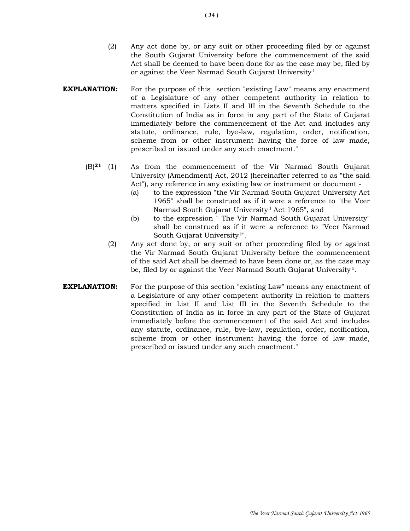- (2) Any act done by, or any suit or other proceeding filed by or against the South Gujarat University before the commencement of the said Act shall be deemed to have been done for as the case may be, filed by or against the Veer Narmad South Gujarat University<sup>1</sup>.
- **EXPLANATION:** For the purpose of this section "existing Law" means any enactment of a Legislature of any other competent authority in relation to matters specified in Lists II and III in the Seventh Schedule to the Constitution of India as in force in any part of the State of Gujarat immediately before the commencement of the Act and includes any statute, ordinance, rule, bye-law, regulation, order, notification, scheme from or other instrument having the force of law made, prescribed or issued under any such enactment."
	- (B)21 (1) As from the commencement of the Vir Narmad South Gujarat University (Amendment) Act, 2012 (hereinafter referred to as "the said Act"), any reference in any existing law or instrument or document -
		- (a) to the expression "the Vir Narmad South Gujarat University Act 1965" shall be construed as if it were a reference to "the Veer Narmad South Gujarat University<sup>1</sup> Act 1965", and
		- (b) to the expression " The Vir Narmad South Gujarat University" shall be construed as if it were a reference to "Veer Narmad South Gujarat University<sup>1"</sup>.
		- (2) Any act done by, or any suit or other proceeding filed by or against the Vir Narmad South Gujarat University before the commencement of the said Act shall be deemed to have been done or, as the case may be, filed by or against the Veer Narmad South Gujarat University<sup>1</sup>.
- **EXPLANATION:** For the purpose of this section "existing Law" means any enactment of a Legislature of any other competent authority in relation to matters specified in List II and List III in the Seventh Schedule to the Constitution of India as in force in any part of the State of Gujarat immediately before the commencement of the said Act and includes any statute, ordinance, rule, bye-law, regulation, order, notification, scheme from or other instrument having the force of law made, prescribed or issued under any such enactment."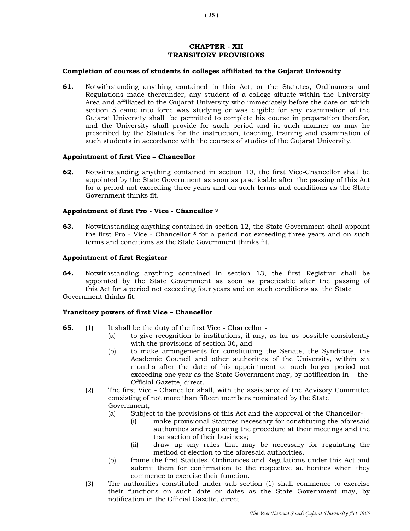## CHAPTER - XII TRANSITORY PROVISIONS

#### Completion of courses of students in colleges affiliated to the Gujarat University

61. Notwithstanding anything contained in this Act, or the Statutes, Ordinances and Regulations made thereunder, any student of a college situate within the University Area and affiliated to the Gujarat University who immediately before the date on which section 5 came into force was studying or was eligible for any examination of the Gujarat University shall be permitted to complete his course in preparation therefor, and the University shall provide for such period and in such manner as may he prescribed by the Statutes for the instruction, teaching, training and examination of such students in accordance with the courses of studies of the Gujarat University.

#### Appointment of first Vice – Chancellor

62. Notwithstanding anything contained in section 10, the first Vice-Chancellor shall be appointed by the State Government as soon as practicable after the passing of this Act for a period not exceeding three years and on such terms and conditions as the State Government thinks fit.

#### Appointment of first Pro - Vice - Chancellor <sup>3</sup>

63. Notwithstanding anything contained in section 12, the State Government shall appoint the first Pro - Vice - Chancellor 3 for a period not exceeding three years and on such terms and conditions as the Stale Government thinks fit.

#### Appointment of first Registrar

64. Notwithstanding anything contained in section 13, the first Registrar shall be appointed by the State Government as soon as practicable after the passing of this Act for a period not exceeding four years and on such conditions as the State Government thinks fit.

### Transitory powers of first Vice – Chancellor

- 65. (1) It shall be the duty of the first Vice Chancellor
	- (a) to give recognition to institutions, if any, as far as possible consistently with the provisions of section 36, and
	- (b) to make arrangements for constituting the Senate, the Syndicate, the Academic Council and other authorities of the University, within six months after the date of his appointment or such longer period not exceeding one year as the State Government may, by notification in the Official Gazette, direct.
	- (2) The first Vice Chancellor shall, with the assistance of the Advisory Committee consisting of not more than fifteen members nominated by the State Government, —
		- (a) Subject to the provisions of this Act and the approval of the Chancellor-
			- (i) make provisional Statutes necessary for constituting the aforesaid authorities and regulating the procedure at their meetings and the transaction of their business;
			- (ii) draw up any rules that may be necessary for regulating the method of election to the aforesaid authorities.
		- (b) frame the first Statutes, Ordinances and Regulations under this Act and submit them for confirmation to the respective authorities when they commence to exercise their function.
	- (3) The authorities constituted under sub-section (1) shall commence to exercise their functions on such date or dates as the State Government may, by notification in the Official Gazette, direct.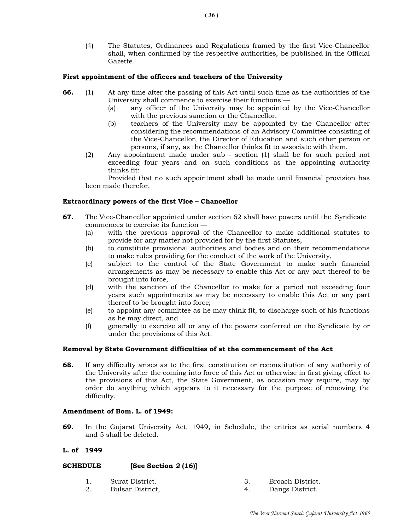(4) The Statutes, Ordinances and Regulations framed by the first Vice-Chancellor shall, when confirmed by the respective authorities, be published in the Official Gazette.

### First appointment of the officers and teachers of the University

- 66. (1) At any time after the passing of this Act until such time as the authorities of the University shall commence to exercise their functions —
	- (a) any officer of the University may be appointed by the Vice-Chancellor with the previous sanction or the Chancellor.
	- (b) teachers of the University may be appointed by the Chancellor after considering the recommendations of an Advisory Committee consisting of the Vice-Chancellor, the Director of Education and such other person or persons, if any, as the Chancellor thinks fit to associate with them.
	- (2) Any appointment made under sub section (1) shall be for such period not exceeding four years and on such conditions as the appointing authority thinks fit:

 Provided that no such appointment shall be made until financial provision has been made therefor.

## Extraordinary powers of the first Vice – Chancellor

- 67. The Vice-Chancellor appointed under section 62 shall have powers until the Syndicate commences to exercise its function —
	- (a) with the previous approval of the Chancellor to make additional statutes to provide for any matter not provided for by the first Statutes,
	- (b) to constitute provisional authorities and bodies and on their recommendations to make rules providing for the conduct of the work of the University,
	- (c) subject to the control of the State Government to make such financial arrangements as may be necessary to enable this Act or any part thereof to be brought into force,
	- (d) with the sanction of the Chancellor to make for a period not exceeding four years such appointments as may be necessary to enable this Act or any part thereof to be brought into force;
	- (e) to appoint any committee as he may think fit, to discharge such of his functions as he may direct, and
	- (f) generally to exercise all or any of the powers conferred on the Syndicate by or under the provisions of this Act.

### Removal by State Government difficulties of at the commencement of the Act

68. If any difficulty arises as to the first constitution or reconstitution of any authority of the University after the coming into force of this Act or otherwise in first giving effect to the provisions of this Act, the State Government, as occasion may require, may by order do anything which appears to it necessary for the purpose of removing the difficulty.

### Amendment of Bom. L. of 1949:

69. In the Gujarat University Act, 1949, in Schedule, the entries as serial numbers 4 and 5 shall be deleted.

## L. of 1949

## SCHEDULE [See Section 2 (16)]

- 
- 1. Surat District. 3. Broach District.
- 2. Bulsar District, 4. Dangs District.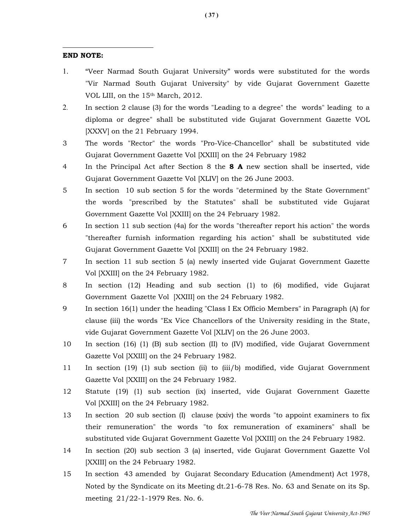## END NOTE:

 $\overline{a}$ 

- 1. "Veer Narmad South Gujarat University" words were substituted for the words "Vir Narmad South Gujarat University" by vide Gujarat Government Gazette VOL LIII, on the 15<sup>th</sup> March, 2012.
- 2. In section 2 clause (3) for the words "Leading to a degree" the words" leading to a diploma or degree" shall be substituted vide Gujarat Government Gazette VOL [XXXV] on the 21 February 1994.
- 3 The words "Rector" the words "Pro-Vice-Chancellor" shall be substituted vide Gujarat Government Gazette Vol [XXIII] on the 24 February 1982
- 4 In the Principal Act after Section 8 the 8 A new section shall be inserted, vide Gujarat Government Gazette Vol [XLIV] on the 26 June 2003.
- 5 In section 10 sub section 5 for the words "determined by the State Government" the words "prescribed by the Statutes" shall be substituted vide Gujarat Government Gazette Vol [XXIII] on the 24 February 1982.
- 6 In section 11 sub section (4a) for the words "thereafter report his action" the words "thereafter furnish information regarding his action" shall be substituted vide Gujarat Government Gazette Vol [XXIII] on the 24 February 1982.
- 7 In section 11 sub section 5 (a) newly inserted vide Gujarat Government Gazette Vol [XXIII] on the 24 February 1982.
- 8 In section (12) Heading and sub section (1) to (6) modified, vide Gujarat Government Gazette Vol [XXIII] on the 24 February 1982.
- 9 In section 16(1) under the heading "Class I Ex Officio Members" in Paragraph (A) for clause (iii) the words "Ex Vice Chancellors of the University residing in the State, vide Gujarat Government Gazette Vol [XLIV] on the 26 June 2003.
- 10 In section (16) (1) (B) sub section (II) to (IV) modified, vide Gujarat Government Gazette Vol [XXIII] on the 24 February 1982.
- 11 In section (19) (1) sub section (ii) to (iii/b) modified, vide Gujarat Government Gazette Vol [XXIII] on the 24 February 1982.
- 12 Statute (19) (1) sub section (ix) inserted, vide Gujarat Government Gazette Vol [XXIII] on the 24 February 1982.
- 13 In section 20 sub section (I) clause (xxiv) the words "to appoint examiners to fix their remuneration" the words "to fox remuneration of examiners" shall be substituted vide Gujarat Government Gazette Vol [XXIII] on the 24 February 1982.
- 14 In section (20) sub section 3 (a) inserted, vide Gujarat Government Gazette Vol [XXIII] on the 24 February 1982.
- 15 In section 43 amended by Gujarat Secondary Education (Amendment) Act 1978, Noted by the Syndicate on its Meeting dt.21-6-78 Res. No. 63 and Senate on its Sp. meeting 21/22-1-1979 Res. No. 6.